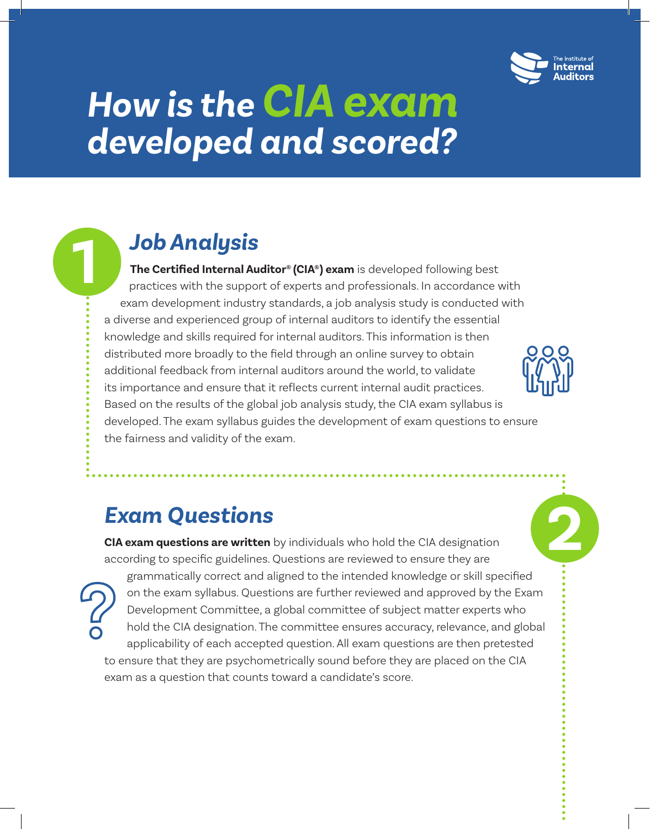

**2**

# *How is the CIA exam developed and scored?*

# *Job Analysis*

**1**

**The Certified Internal Auditor® (CIA®) exam** is developed following best practices with the support of experts and professionals. In accordance with exam development industry standards, a job analysis study is conducted with a diverse and experienced group of internal auditors to identify the essential knowledge and skills required for internal auditors. This information is then distributed more broadly to the field through an online survey to obtain additional feedback from internal auditors around the world, to validate its importance and ensure that it reflects current internal audit practices. Based on the results of the global job analysis study, the CIA exam syllabus is developed. The exam syllabus guides the development of exam questions to ensure the fairness and validity of the exam.

## *Exam Questions*

**CIA exam questions are written** by individuals who hold the CIA designation according to specific guidelines. Questions are reviewed to ensure they are grammatically correct and aligned to the intended knowledge or skill specified on the exam syllabus. Questions are further reviewed and approved by the Exam Development Committee, a global committee of subject matter experts who hold the CIA designation. The committee ensures accuracy, relevance, and global applicability of each accepted question. All exam questions are then pretested to ensure that they are psychometrically sound before they are placed on the CIA exam as a question that counts toward a candidate's score.